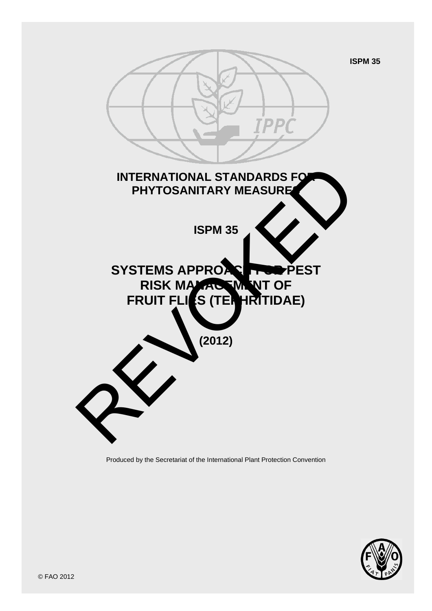

Produced by the Secretariat of the International Plant Protection Convention

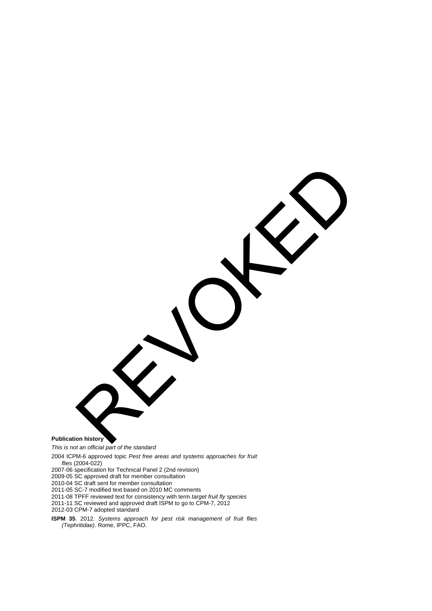**Publication history** REVOKED

*This is not an official part of the standard* 

2004 ICPM-6 approved topic *Pest free areas and systems approaches for fruit flies* (2004-022)

2007-06 specification for Technical Panel 2 (2nd revision)

2009-05 SC approved draft for member consultation

2010-04 SC draft sent for member consultation

2011-05 SC-7 modified text based on 2010 MC comments

2011-08 TPFF reviewed text for consistency with term *target fruit fly species*

2011-11 SC reviewed and approved draft ISPM to go to CPM-7, 2012

2012-03 CPM-7 adopted standard

**ISPM 35**. 2012. *Systems approach for pest risk management of fruit flies (Tephritidae)*. Rome, IPPC, FAO.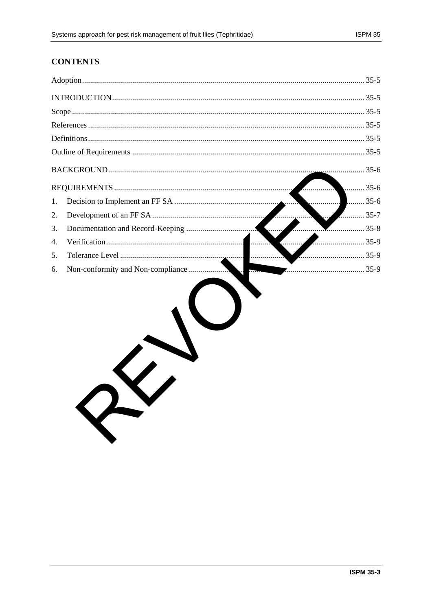# **CONTENTS**

|                                            | $\ldots$ 35-6        |
|--------------------------------------------|----------------------|
| 1.<br>$\ldots$ . The set of $\blacksquare$ | $\ldots$ 35-6<br>. 1 |
| 2.                                         | 35-7                 |
| 3.                                         |                      |
| 4.                                         | 35-9                 |
| 5.                                         |                      |
| 6.                                         |                      |
|                                            |                      |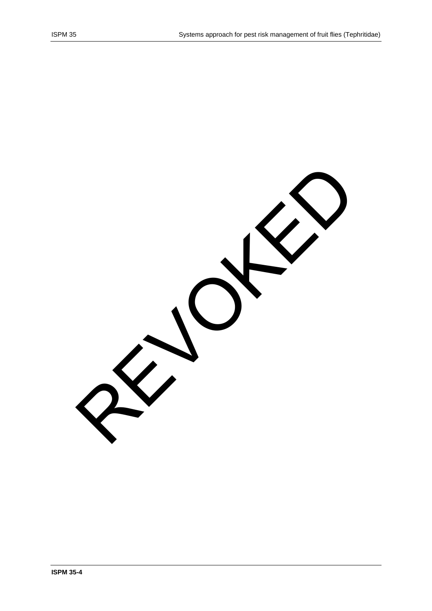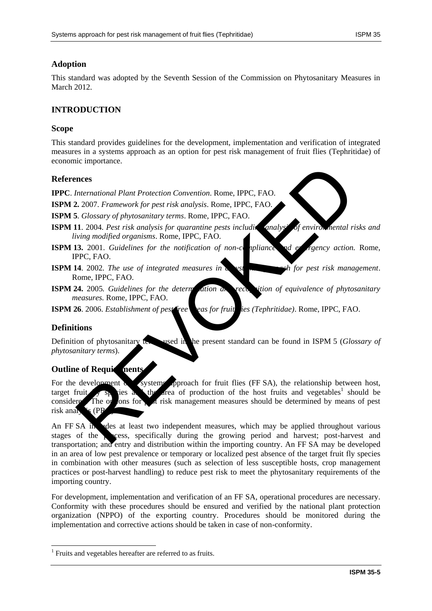## <span id="page-4-0"></span>**Adoption**

This standard was adopted by the Seventh Session of the Commission on Phytosanitary Measures in March 2012.

## <span id="page-4-1"></span>**INTRODUCTION**

### <span id="page-4-2"></span>**Scope**

This standard provides guidelines for the development, implementation and verification of integrated measures in a systems approach as an option for pest risk management of fruit flies (Tephritidae) of economic importance.

### <span id="page-4-3"></span>**References**

**IPPC**. *International Plant Protection Convention*. Rome, IPPC, FAO.

**ISPM 2.** 2007. *Framework for pest risk analysis*. Rome, IPPC, FAO.

**ISPM 5**. *Glossary of phytosanitary terms*. Rome, IPPC, FAO.

- **ISPM 11**. 2004. *Pest risk analysis for quarantine pests including analysis of enviror nental risks and living modified organisms*. Rome, IPPC, FAO.
- **ISPM 13.** 2001. *Guidelines for the notification of non-compliance and explorer action.* Rome, IPPC, FAO.
- **ISPM 14.** 2002. *The use of integrated measures in a* system and for pest risk management. Rome, IPPC, FAO.
- **ISPM 24.** 2005*. Guidelines for the determination and recognition of equivalence of phytosanitary measures.* Rome, IPPC, FAO.

**ISPM 26**. 2006. *Establishment of pest free areas for fruit flies (Tephritidae)*. Rome, IPPC, FAO.

## <span id="page-4-4"></span>**Definitions**

1

Definition of phytosanitary terms used in the present standard can be found in ISPM 5 (*Glossary of phytosanitary terms*).

## <span id="page-4-5"></span>**Outline of Requirements**

For the development  $\bullet$  systems approach for fruit flies (FF SA), the relationship between host, target fruit  $\int$  species and the area of production of the host fruits and vegetables<sup>1</sup> should be considered. The options for pest risk management measures should be determined by means of pest risk analysis (PR $\overline{P}$ The term and Plant Protection Convention. Rome, IPPC, FAO.<br>
2. 2007. Framework for pest risk analysis, Rome, IPPC, FAO.<br>
5. Glossary of phytosanitary terms. Rome, IPPC, FAO.<br>
5. Glossary of phytosanitary terms. Rome, IPPC,

An FF SA in vides at least two independent measures, which may be applied throughout various stages of the process, specifically during the growing period and harvest; post-harvest and transportation; and entry and distribution within the importing country. An FF SA may be developed in an area of low pest prevalence or temporary or localized pest absence of the target fruit fly species in combination with other measures (such as selection of less susceptible hosts, crop management practices or post-harvest handling) to reduce pest risk to meet the phytosanitary requirements of the importing country.

For development, implementation and verification of an FF SA, operational procedures are necessary. Conformity with these procedures should be ensured and verified by the national plant protection organization (NPPO) of the exporting country. Procedures should be monitored during the implementation and corrective actions should be taken in case of non-conformity.

<sup>&</sup>lt;sup>1</sup> Fruits and vegetables hereafter are referred to as fruits.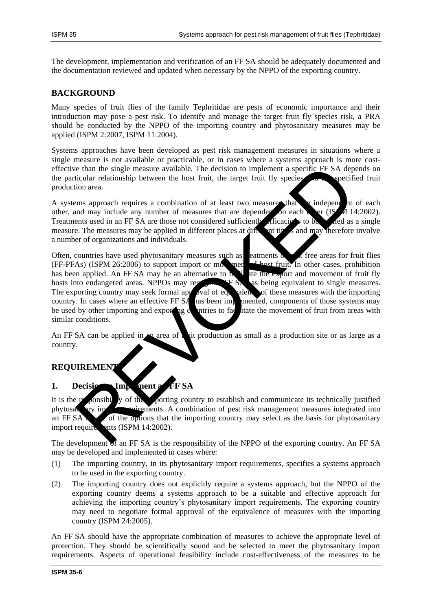The development, implementation and verification of an FF SA should be adequately documented and the documentation reviewed and updated when necessary by the NPPO of the exporting country.

### <span id="page-5-0"></span>**BACKGROUND**

Many species of fruit flies of the family Tephritidae are pests of economic importance and their introduction may pose a pest risk. To identify and manage the target fruit fly species risk, a PRA should be conducted by the NPPO of the importing country and phytosanitary measures may be applied (ISPM 2:2007, ISPM 11:2004).

Systems approaches have been developed as pest risk management measures in situations where a single measure is not available or practicable, or in cases where a systems approach is more costeffective than the single measure available. The decision to implement a specific FF SA depends on the particular relationship between the host fruit, the target fruit fly species and specified fruit production area.

A systems approach requires a combination of at least two measures that are independent of each other, and may include any number of measures that are dependent on each other (ISPM 14:2002).<br>Treatments used in an FF SA are those not considered sufficiently rificacions to be the red as a single Treatments used in an FF SA are those not considered sufficiently efficacious to be a seed as a single measure. The measures may be applied in different places at different in and may therefore involve measure. The measures may be applied in different places at different in a number of organizations and individuals.

Often, countries have used phytosanitary measures such as  $\epsilon$  eatments  $\delta$  free areas for fruit flies  $(FF-PFAs)$  (ISPM 26:2006) to support import or movement of host fruit. In other cases, prohibition has been applied. An FF SA may be an alternative to  $\mathbf{h}$ , it are the export and movement of fruit fly hosts into endangered areas. NPPOs may recognize FF SAs as being equivalent to single measures. The exporting country may seek formal approval of equivalence of these measures with the importing country. In cases where an effective FF SA has been implemented, components of those systems may be used by other importing and exporting  $\alpha$  untries to facilitate the movement of fruit from areas with similar conditions. The mean and the internal specific stables and the stable internal specific FF SA dependent relationship between the host fruit, the target fruit fly species from an any include any number of measures that are dependent an

An FF SA can be applied in an area of  $\Gamma$  it production as small as a production site or as large as a country.

### <span id="page-5-1"></span>**REQUIREMEN**

## <span id="page-5-2"></span>**1.** Decision in Implement and FF SA

It is the responsibility of the sporting country to establish and communicate its technically justified phytosanity imported into requirements. A combination of pest risk management measures integrated into an  $FF SA$  of the options that the importing country may select as the basis for phytosanitary import requirements (ISPM 14:2002).

The development of an FF SA is the responsibility of the NPPO of the exporting country. An FF SA may be developed and implemented in cases where:

- (1) The importing country, in its phytosanitary import requirements, specifies a systems approach to be used in the exporting country.
- (2) The importing country does not explicitly require a systems approach, but the NPPO of the exporting country deems a systems approach to be a suitable and effective approach for achieving the importing country's phytosanitary import requirements. The exporting country may need to negotiate formal approval of the equivalence of measures with the importing country (ISPM 24:2005).

An FF SA should have the appropriate combination of measures to achieve the appropriate level of protection. They should be scientifically sound and be selected to meet the phytosanitary import requirements. Aspects of operational feasibility include cost-effectiveness of the measures to be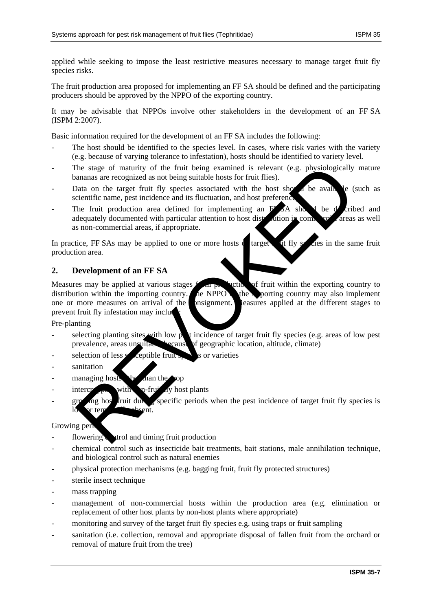applied while seeking to impose the least restrictive measures necessary to manage target fruit fly species risks.

The fruit production area proposed for implementing an FF SA should be defined and the participating producers should be approved by the NPPO of the exporting country.

It may be advisable that NPPOs involve other stakeholders in the development of an FF SA (ISPM 2:2007).

Basic information required for the development of an FF SA includes the following:

- The host should be identified to the species level. In cases, where risk varies with the variety (e.g. because of varying tolerance to infestation), hosts should be identified to variety level.
- The stage of maturity of the fruit being examined is relevant (e.g. physiologically mature bananas are recognized as not being suitable hosts for fruit flies).
- Data on the target fruit fly species associated with the host should be available (such as scientific name, pest incidence and its fluctuation, and host preference
- The fruit production area defined for implementing an  $F^r$  SA should be decribed and adequately documented with particular attention to host distribution in commercial areas as well as non-commercial areas, if appropriate.

In practice, FF SAs may be applied to one or more hosts or target out fly species in the same fruit production area.

### <span id="page-6-0"></span>**2. Development of an FF SA**

Measures may be applied at various stages  $f_{\text{out}}$  production of fruit within the exporting country to distribution within the importing country. The NPPO the porting country may also implement one or more measures on arrival of the **passignment**. Jeasures applied at the different stages to prevent fruit fly infestation may inclu The stage of maturity of the fruit being examined is relevant (e.g. physiologically<br>ananas are recognized as not being suitable hotes for fruit flies.<br>Data on the target fruit fly species associated with the host show the

Pre-planting

- selecting planting sites with low  $p$  t incidence of target fruit fly species (e.g. areas of low pest prevalence, areas unsuitable because of geographic location, altitude, climate)
- selection of less  $s$  ceptible fruit  $s$  s or varieties
- sanitation
- managing hosts the chan the
- $\frac{1}{2}$  intercropping with n-fruit fly host plants
- $\log$  host fruit during specific periods when the pest incidence of target fruit fly species is  $\blacksquare$

### Growing peri

- flowering control and timing fruit production
- chemical control such as insecticide bait treatments, bait stations, male annihilation technique, and biological control such as natural enemies
- physical protection mechanisms (e.g. bagging fruit, fruit fly protected structures)
- sterile insect technique
- mass trapping
- management of non-commercial hosts within the production area (e.g. elimination or replacement of other host plants by non-host plants where appropriate)
- monitoring and survey of the target fruit fly species e.g. using traps or fruit sampling
- sanitation (i.e. collection, removal and appropriate disposal of fallen fruit from the orchard or removal of mature fruit from the tree)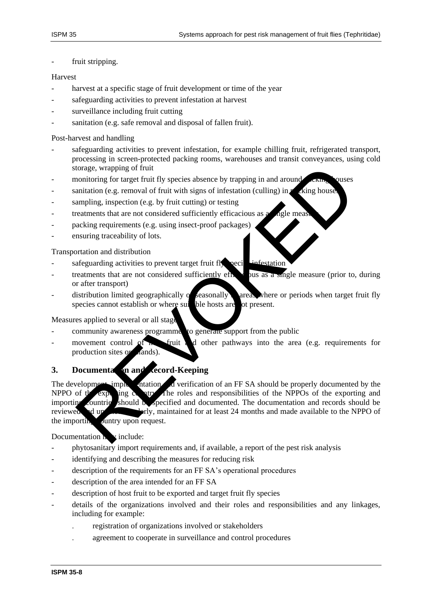fruit stripping.

### Harvest

- harvest at a specific stage of fruit development or time of the year
- safeguarding activities to prevent infestation at harvest
- surveillance including fruit cutting
- sanitation (e.g. safe removal and disposal of fallen fruit).

Post-harvest and handling

- safeguarding activities to prevent infestation, for example chilling fruit, refrigerated transport, processing in screen-protected packing rooms, warehouses and transit conveyances, using cold storage, wrapping of fruit
- monitoring for target fruit fly species absence by trapping in and around  $\mathbb{R}$  houses
- sanitation (e.g. removal of fruit with signs of infestation (culling) in packing house
- sampling, inspection (e.g. by fruit cutting) or testing
- treatments that are not considered sufficiently efficacious as  $\alpha$  single measurements
- packing requirements (e.g. using insect-proof packages)
- ensuring traceability of lots.

Transportation and distribution

- safeguarding activities to prevent target fruit  $\iint$  species infestation
- treatments that are not considered sufficiently effect by  $\frac{1}{2}$  by as a single measure (prior to, during or after transport)
- distribution limited geographically  $\alpha$  seasonally areas where or periods when target fruit fly species cannot establish or where suitable hosts are not present.

Measures applied to several or all stag

- community awareness programme to generate support from the public
- movement control of  $\mathbf{h}$ , fruit and other pathways into the area (e.g. requirements for production sites or **it** ands).

# <span id="page-7-0"></span>**3.** Documentation and Record-Keeping

The development implementation and verification of an FF SA should be properly documented by the NPPO of the exporting country. The roles and responsibilities of the NPPOs of the exporting and importing countries should be specified and documented. The documentation and records should be reviewed and up determined regularly, maintained for at least 24 months and made available to the NPPO of the importing ountry upon request. torage, wrapping of fruit IIy species absence by trapping in and around retain monitoring for target fruit fly species absence by trapping in and around antition (e.g. removal of fruit with signs of infestation (culling) i

## Documentation  $\mathbf h$  v include:

- phytosanitary import requirements and, if available, a report of the pest risk analysis
- identifying and describing the measures for reducing risk
- description of the requirements for an FF SA's operational procedures
- description of the area intended for an FF SA
- description of host fruit to be exported and target fruit fly species
- details of the organizations involved and their roles and responsibilities and any linkages, including for example:
	- registration of organizations involved or stakeholders
	- agreement to cooperate in surveillance and control procedures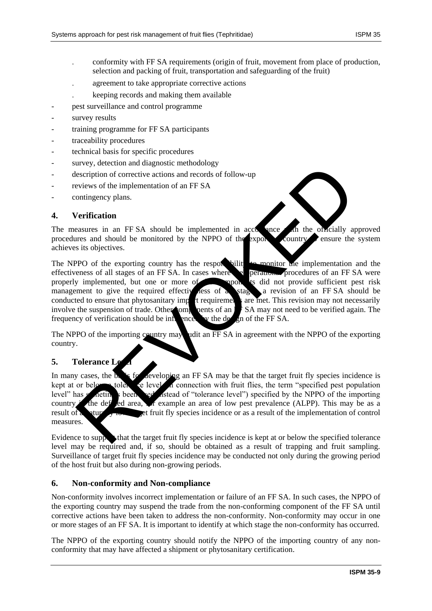- conformity with FF SA requirements (origin of fruit, movement from place of production, selection and packing of fruit, transportation and safeguarding of the fruit)
- agreement to take appropriate corrective actions
- keeping records and making them available
- pest surveillance and control programme
- survey results
- training programme for FF SA participants
- traceability procedures
- technical basis for specific procedures
- survey, detection and diagnostic methodology
- description of corrective actions and records of follow-up
- reviews of the implementation of an FF SA
- contingency plans.

### <span id="page-8-0"></span>**4. Verification**

The measures in an FF SA should be implemented in accordance when the officially approved procedures and should be monitored by the NPPO of the exporting country ensure the system achieves its objectives.

The NPPO of the exporting country has the responsibility to monitor the implementation and the effectiveness of all stages of an FF SA. In cases where the operational procedures of an FF SA were properly implemented, but one or more of the components did not provide sufficient pest risk management to give the required effectiveness of a stage a revision of an FF SA should be conducted to ensure that phytosanitary import requirements are met. This revision may not necessarily involve the suspension of trade. Other components of an FF SA may not need to be verified again. The frequency of verification should be influenced by the design of the FF SA. Exercision of corrective actions and records of follow-up<br>these rigion of corrective actions and records of follow-up<br>eviews of the implementation of an FF SA should be implemented in accome<br>exercision in an FF SA should b

The NPPO of the importing country may udit an FF SA in agreement with the NPPO of the exporting country.

### <span id="page-8-1"></span>**5.** Tolerance Le

In many cases, the basis for developing an FF SA may be that the target fruit fly species incidence is kept at or below a toleration  $\kappa$  (except the connection with fruit flies, the term "specified pest population") level" has sometimes been used instead of "tolerance level") specified by the NPPO of the importing country the defed area, for example an area of low pest prevalence (ALPP). This may be as a result of a natural low target fruit fly species incidence or as a result of the implementation of control measures.

Evidence to support that the target fruit fly species incidence is kept at or below the specified tolerance level may be required and, if so, should be obtained as a result of trapping and fruit sampling. Surveillance of target fruit fly species incidence may be conducted not only during the growing period of the host fruit but also during non-growing periods.

## <span id="page-8-2"></span>**6. Non-conformity and Non-compliance**

Non-conformity involves incorrect implementation or failure of an FF SA. In such cases, the NPPO of the exporting country may suspend the trade from the non-conforming component of the FF SA until corrective actions have been taken to address the non-conformity. Non-conformity may occur in one or more stages of an FF SA. It is important to identify at which stage the non-conformity has occurred.

The NPPO of the exporting country should notify the NPPO of the importing country of any nonconformity that may have affected a shipment or phytosanitary certification.